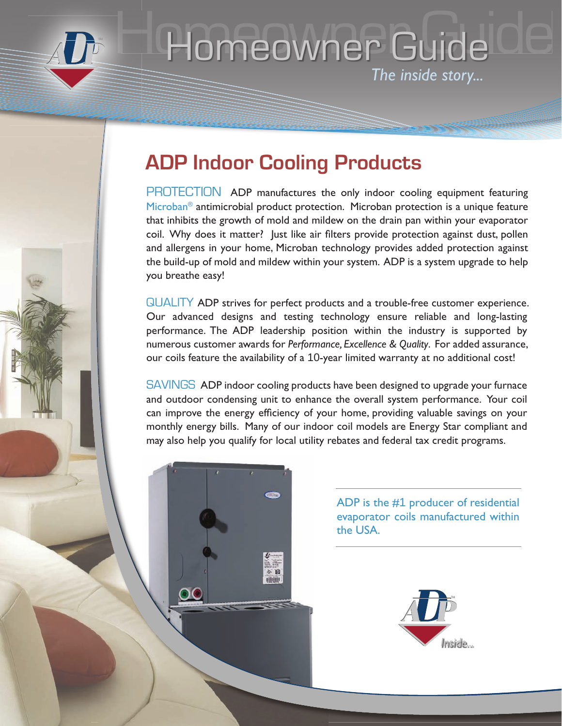

# Homeowner Guide de *The inside story...* **THOMPOWDELTING U**

### **ADP Indoor Cooling Products**

PROTECTION ADP manufactures the only indoor cooling equipment featuring Microban<sup>®</sup> antimicrobial product protection. Microban protection is a unique feature that inhibits the growth of mold and mildew on the drain pan within your evaporator coil. Why does it matter? Just like air filters provide protection against dust, pollen and allergens in your home, Microban technology provides added protection against the build-up of mold and mildew within your system. ADP is a system upgrade to help you breathe easy!

QUALITY ADP strives for perfect products and a trouble-free customer experience. Our advanced designs and testing technology ensure reliable and long-lasting performance. The ADP leadership position within the industry is supported by numerous customer awards for *Performance, Excellence & Quality*. For added assurance, our coils feature the availability of a 10-year limited warranty at no additional cost!

SAVINGS ADP indoor cooling products have been designed to upgrade your furnace and outdoor condensing unit to enhance the overall system performance. Your coil can improve the energy efficiency of your home, providing valuable savings on your monthly energy bills. Many of our indoor coil models are Energy Star compliant and may also help you qualify for local utility rebates and federal tax credit programs.



ADP is the #1 producer of residential evaporator coils manufactured within the USA.